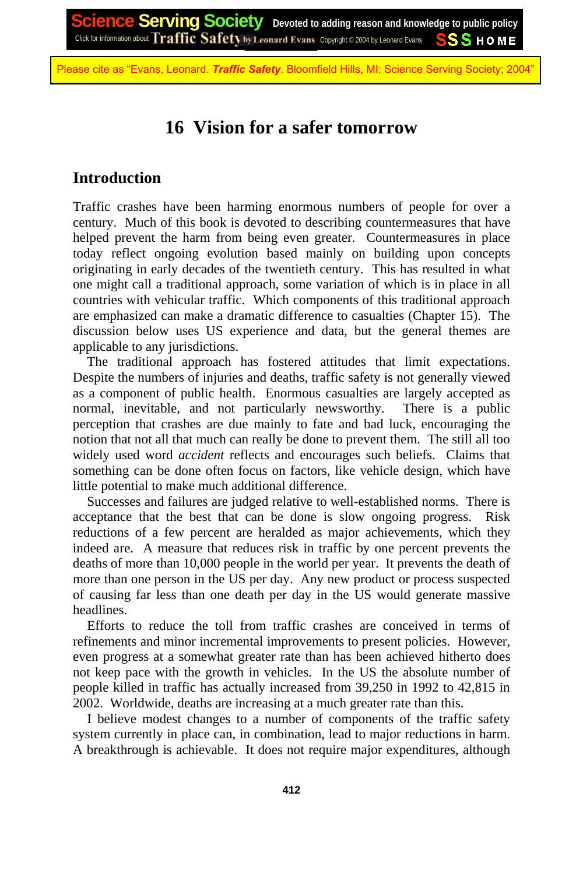Please cite as "Evans, Leonard. *Traffic Safety*. Bloomfield Hills, MI; Science Serving Society; 2004"

# **16 Vision for a safer tomorrow**

#### **Introduction**

Traffic crashes have been harming enormous numbers of people for over a century. Much of this book is devoted to describing countermeasures that have helped prevent the harm from being even greater. Countermeasures in place today reflect ongoing evolution based mainly on building upon concepts originating in early decades of the twentieth century. This has resulted in what one might call a traditional approach, some variation of which is in place in all countries with vehicular traffic. Which components of this traditional approach are emphasized can make a dramatic difference to casualties (Chapter 15). The discussion below uses US experience and data, but the general themes are applicable to any jurisdictions.

The traditional approach has fostered attitudes that limit expectations. Despite the numbers of injuries and deaths, traffic safety is not generally viewed as a component of public health. Enormous casualties are largely accepted as normal, inevitable, and not particularly newsworthy. There is a public perception that crashes are due mainly to fate and bad luck, encouraging the notion that not all that much can really be done to prevent them. The still all too widely used word *accident* reflects and encourages such beliefs. Claims that something can be done often focus on factors, like vehicle design, which have little potential to make much additional difference.

Successes and failures are judged relative to well-established norms. There is acceptance that the best that can be done is slow ongoing progress. Risk reductions of a few percent are heralded as major achievements, which they indeed are. A measure that reduces risk in traffic by one percent prevents the deaths of more than 10,000 people in the world per year. It prevents the death of more than one person in the US per day. Any new product or process suspected of causing far less than one death per day in the US would generate massive headlines.

Efforts to reduce the toll from traffic crashes are conceived in terms of refinements and minor incremental improvements to present policies. However, even progress at a somewhat greater rate than has been achieved hitherto does not keep pace with the growth in vehicles. In the US the absolute number of people killed in traffic has actually increased from 39,250 in 1992 to 42,815 in 2002. Worldwide, deaths are increasing at a much greater rate than this.

I believe modest changes to a number of components of the traffic safety system currently in place can, in combination, lead to major reductions in harm. A breakthrough is achievable. It does not require major expenditures, although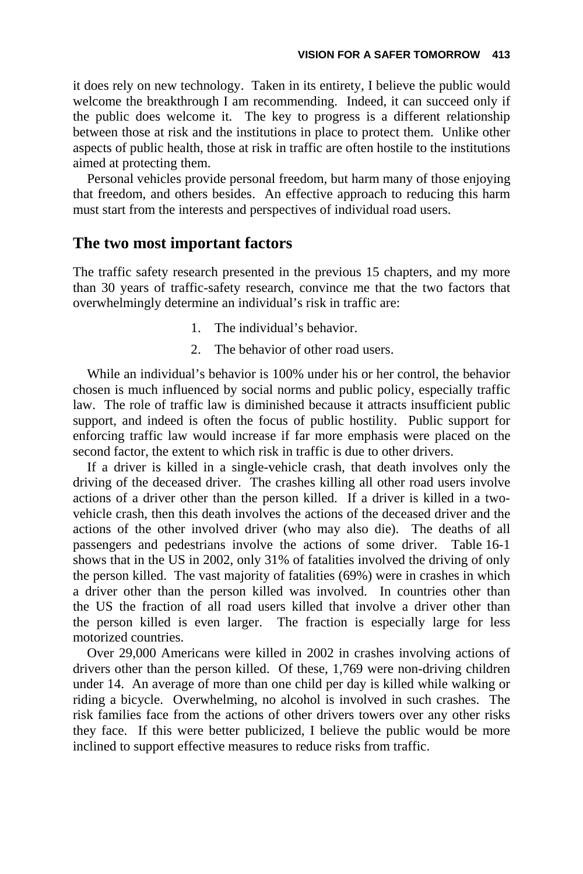it does rely on new technology. Taken in its entirety, I believe the public would welcome the breakthrough I am recommending. Indeed, it can succeed only if the public does welcome it. The key to progress is a different relationship between those at risk and the institutions in place to protect them. Unlike other aspects of public health, those at risk in traffic are often hostile to the institutions aimed at protecting them.

Personal vehicles provide personal freedom, but harm many of those enjoying that freedom, and others besides. An effective approach to reducing this harm must start from the interests and perspectives of individual road users.

#### **The two most important factors**

The traffic safety research presented in the previous 15 chapters, and my more than 30 years of traffic-safety research, convince me that the two factors that overwhelmingly determine an individual's risk in traffic are:

- 1. The individual's behavior.
- 2. The behavior of other road users.

While an individual's behavior is 100% under his or her control, the behavior chosen is much influenced by social norms and public policy, especially traffic law. The role of traffic law is diminished because it attracts insufficient public support, and indeed is often the focus of public hostility. Public support for enforcing traffic law would increase if far more emphasis were placed on the second factor, the extent to which risk in traffic is due to other drivers.

If a driver is killed in a single-vehicle crash, that death involves only the driving of the deceased driver. The crashes killing all other road users involve actions of a driver other than the person killed. If a driver is killed in a twovehicle crash, then this death involves the actions of the deceased driver and the actions of the other involved driver (who may also die). The deaths of all passengers and pedestrians involve the actions of some driver. Table 16-1 shows that in the US in 2002, only 31% of fatalities involved the driving of only the person killed. The vast majority of fatalities (69%) were in crashes in which a driver other than the person killed was involved. In countries other than the US the fraction of all road users killed that involve a driver other than the person killed is even larger. The fraction is especially large for less motorized countries.

Over 29,000 Americans were killed in 2002 in crashes involving actions of drivers other than the person killed. Of these, 1,769 were non-driving children under 14. An average of more than one child per day is killed while walking or riding a bicycle. Overwhelming, no alcohol is involved in such crashes. The risk families face from the actions of other drivers towers over any other risks they face. If this were better publicized, I believe the public would be more inclined to support effective measures to reduce risks from traffic.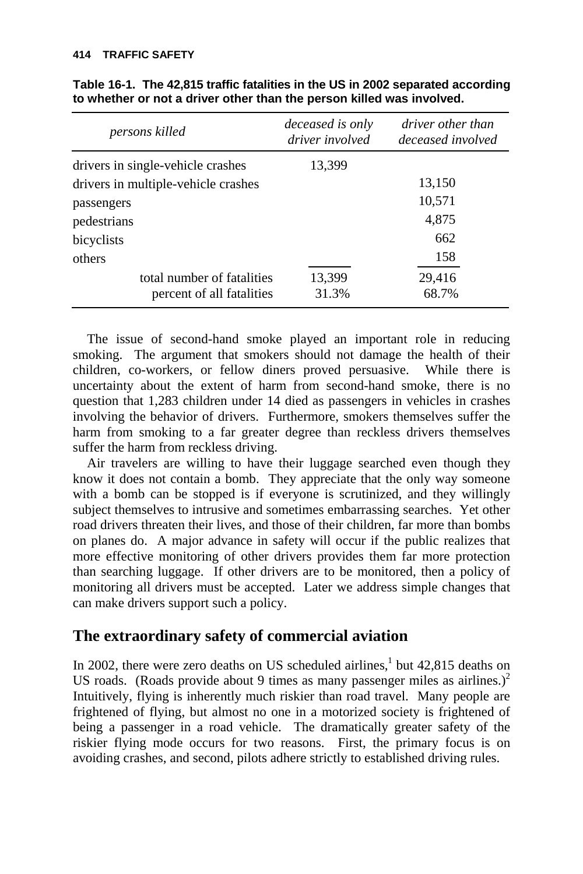| persons killed                                          | deceased is only<br>driver involved | driver other than<br>deceased involved |
|---------------------------------------------------------|-------------------------------------|----------------------------------------|
| drivers in single-vehicle crashes                       | 13,399                              |                                        |
| drivers in multiple-vehicle crashes                     |                                     | 13,150                                 |
| passengers                                              |                                     | 10,571                                 |
| pedestrians                                             |                                     | 4,875                                  |
| bicyclists                                              |                                     | 662                                    |
| others                                                  |                                     | 158                                    |
| total number of fatalities<br>percent of all fatalities | 13,399<br>31.3%                     | 29,416<br>68.7%                        |

**Table 16-1. The 42,815 traffic fatalities in the US in 2002 separated according to whether or not a driver other than the person killed was involved.** 

The issue of second-hand smoke played an important role in reducing smoking. The argument that smokers should not damage the health of their children, co-workers, or fellow diners proved persuasive. While there is uncertainty about the extent of harm from second-hand smoke, there is no question that 1,283 children under 14 died as passengers in vehicles in crashes involving the behavior of drivers. Furthermore, smokers themselves suffer the harm from smoking to a far greater degree than reckless drivers themselves suffer the harm from reckless driving.

Air travelers are willing to have their luggage searched even though they know it does not contain a bomb. They appreciate that the only way someone with a bomb can be stopped is if everyone is scrutinized, and they willingly subject themselves to intrusive and sometimes embarrassing searches. Yet other road drivers threaten their lives, and those of their children, far more than bombs on planes do. A major advance in safety will occur if the public realizes that more effective monitoring of other drivers provides them far more protection than searching luggage. If other drivers are to be monitored, then a policy of monitoring all drivers must be accepted. Later we address simple changes that can make drivers support such a policy.

## **The extraordinary safety of commercial aviation**

In 2002, there were zero deaths on US scheduled airlines,<sup>1</sup> but 42,815 deaths on US roads. (Roads provide about 9 times as many passenger miles as airlines.)<sup>2</sup> Intuitively, flying is inherently much riskier than road travel. Many people are frightened of flying, but almost no one in a motorized society is frightened of being a passenger in a road vehicle. The dramatically greater safety of the riskier flying mode occurs for two reasons. First, the primary focus is on avoiding crashes, and second, pilots adhere strictly to established driving rules.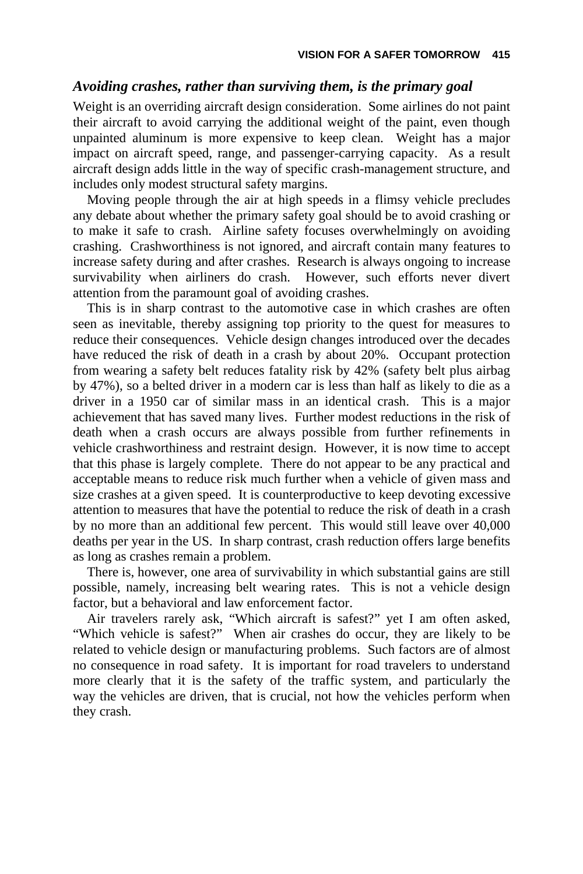#### *Avoiding crashes, rather than surviving them, is the primary goal*

Weight is an overriding aircraft design consideration. Some airlines do not paint their aircraft to avoid carrying the additional weight of the paint, even though unpainted aluminum is more expensive to keep clean. Weight has a major impact on aircraft speed, range, and passenger-carrying capacity. As a result aircraft design adds little in the way of specific crash-management structure, and includes only modest structural safety margins.

Moving people through the air at high speeds in a flimsy vehicle precludes any debate about whether the primary safety goal should be to avoid crashing or to make it safe to crash. Airline safety focuses overwhelmingly on avoiding crashing. Crashworthiness is not ignored, and aircraft contain many features to increase safety during and after crashes. Research is always ongoing to increase survivability when airliners do crash. However, such efforts never divert attention from the paramount goal of avoiding crashes.

This is in sharp contrast to the automotive case in which crashes are often seen as inevitable, thereby assigning top priority to the quest for measures to reduce their consequences. Vehicle design changes introduced over the decades have reduced the risk of death in a crash by about 20%. Occupant protection from wearing a safety belt reduces fatality risk by 42% (safety belt plus airbag by 47%), so a belted driver in a modern car is less than half as likely to die as a driver in a 1950 car of similar mass in an identical crash. This is a major achievement that has saved many lives. Further modest reductions in the risk of death when a crash occurs are always possible from further refinements in vehicle crashworthiness and restraint design. However, it is now time to accept that this phase is largely complete. There do not appear to be any practical and acceptable means to reduce risk much further when a vehicle of given mass and size crashes at a given speed. It is counterproductive to keep devoting excessive attention to measures that have the potential to reduce the risk of death in a crash by no more than an additional few percent. This would still leave over 40,000 deaths per year in the US. In sharp contrast, crash reduction offers large benefits as long as crashes remain a problem.

There is, however, one area of survivability in which substantial gains are still possible, namely, increasing belt wearing rates. This is not a vehicle design factor, but a behavioral and law enforcement factor.

Air travelers rarely ask, "Which aircraft is safest?" yet I am often asked, "Which vehicle is safest?" When air crashes do occur, they are likely to be related to vehicle design or manufacturing problems. Such factors are of almost no consequence in road safety. It is important for road travelers to understand more clearly that it is the safety of the traffic system, and particularly the way the vehicles are driven, that is crucial, not how the vehicles perform when they crash.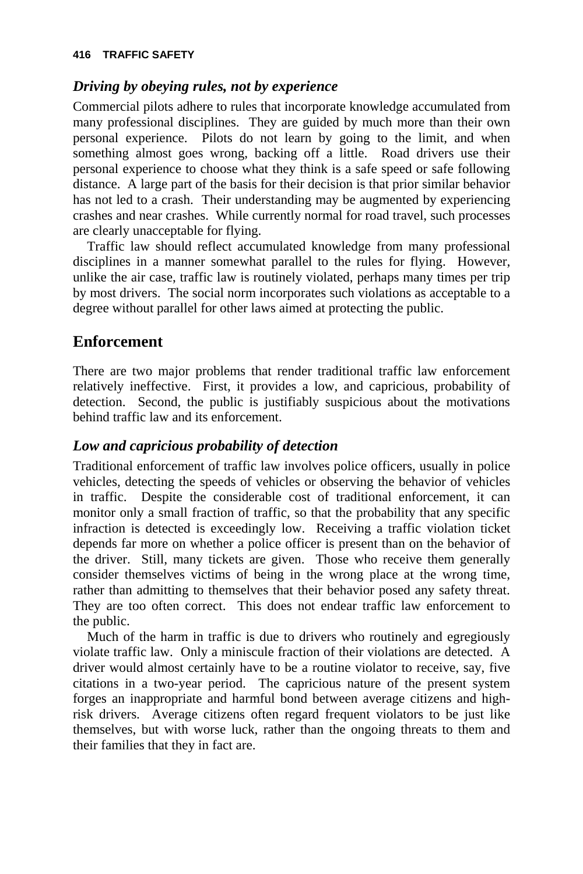#### *Driving by obeying rules, not by experience*

Commercial pilots adhere to rules that incorporate knowledge accumulated from many professional disciplines. They are guided by much more than their own personal experience. Pilots do not learn by going to the limit, and when something almost goes wrong, backing off a little. Road drivers use their personal experience to choose what they think is a safe speed or safe following distance. A large part of the basis for their decision is that prior similar behavior has not led to a crash. Their understanding may be augmented by experiencing crashes and near crashes. While currently normal for road travel, such processes are clearly unacceptable for flying.

Traffic law should reflect accumulated knowledge from many professional disciplines in a manner somewhat parallel to the rules for flying. However, unlike the air case, traffic law is routinely violated, perhaps many times per trip by most drivers. The social norm incorporates such violations as acceptable to a degree without parallel for other laws aimed at protecting the public.

## **Enforcement**

There are two major problems that render traditional traffic law enforcement relatively ineffective. First, it provides a low, and capricious, probability of detection. Second, the public is justifiably suspicious about the motivations behind traffic law and its enforcement.

## *Low and capricious probability of detection*

Traditional enforcement of traffic law involves police officers, usually in police vehicles, detecting the speeds of vehicles or observing the behavior of vehicles in traffic. Despite the considerable cost of traditional enforcement, it can monitor only a small fraction of traffic, so that the probability that any specific infraction is detected is exceedingly low. Receiving a traffic violation ticket depends far more on whether a police officer is present than on the behavior of the driver. Still, many tickets are given. Those who receive them generally consider themselves victims of being in the wrong place at the wrong time, rather than admitting to themselves that their behavior posed any safety threat. They are too often correct. This does not endear traffic law enforcement to the public.

Much of the harm in traffic is due to drivers who routinely and egregiously violate traffic law. Only a miniscule fraction of their violations are detected. A driver would almost certainly have to be a routine violator to receive, say, five citations in a two-year period. The capricious nature of the present system forges an inappropriate and harmful bond between average citizens and highrisk drivers. Average citizens often regard frequent violators to be just like themselves, but with worse luck, rather than the ongoing threats to them and their families that they in fact are.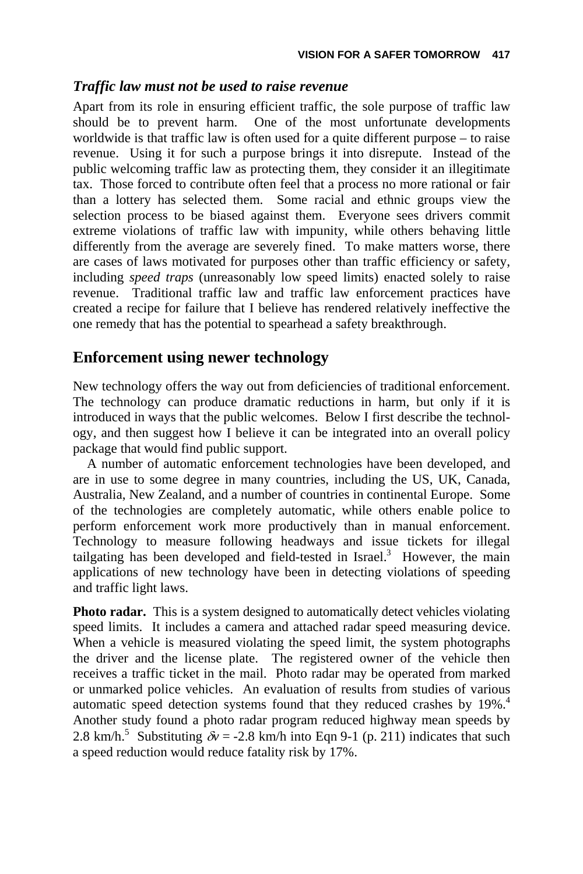#### *Traffic law must not be used to raise revenue*

Apart from its role in ensuring efficient traffic, the sole purpose of traffic law should be to prevent harm. One of the most unfortunate developments worldwide is that traffic law is often used for a quite different purpose – to raise revenue. Using it for such a purpose brings it into disrepute. Instead of the public welcoming traffic law as protecting them, they consider it an illegitimate tax. Those forced to contribute often feel that a process no more rational or fair than a lottery has selected them. Some racial and ethnic groups view the selection process to be biased against them. Everyone sees drivers commit extreme violations of traffic law with impunity, while others behaving little differently from the average are severely fined. To make matters worse, there are cases of laws motivated for purposes other than traffic efficiency or safety, including *speed traps* (unreasonably low speed limits) enacted solely to raise revenue. Traditional traffic law and traffic law enforcement practices have created a recipe for failure that I believe has rendered relatively ineffective the one remedy that has the potential to spearhead a safety breakthrough.

#### **Enforcement using newer technology**

New technology offers the way out from deficiencies of traditional enforcement. The technology can produce dramatic reductions in harm, but only if it is introduced in ways that the public welcomes. Below I first describe the technology, and then suggest how I believe it can be integrated into an overall policy package that would find public support.

A number of automatic enforcement technologies have been developed, and are in use to some degree in many countries, including the US, UK, Canada, Australia, New Zealand, and a number of countries in continental Europe. Some of the technologies are completely automatic, while others enable police to perform enforcement work more productively than in manual enforcement. Technology to measure following headways and issue tickets for illegal tailgating has been developed and field-tested in Israel.<sup>3</sup> However, the main applications of new technology have been in detecting violations of speeding and traffic light laws.

**Photo radar.** This is a system designed to automatically detect vehicles violating speed limits. It includes a camera and attached radar speed measuring device. When a vehicle is measured violating the speed limit, the system photographs the driver and the license plate. The registered owner of the vehicle then receives a traffic ticket in the mail. Photo radar may be operated from marked or unmarked police vehicles. An evaluation of results from studies of various automatic speed detection systems found that they reduced crashes by 19%.4 Another study found a photo radar program reduced highway mean speeds by 2.8 km/h.<sup>5</sup> Substituting  $\delta v = -2.8$  km/h into Eqn 9-1 (p. 211) indicates that such a speed reduction would reduce fatality risk by 17%.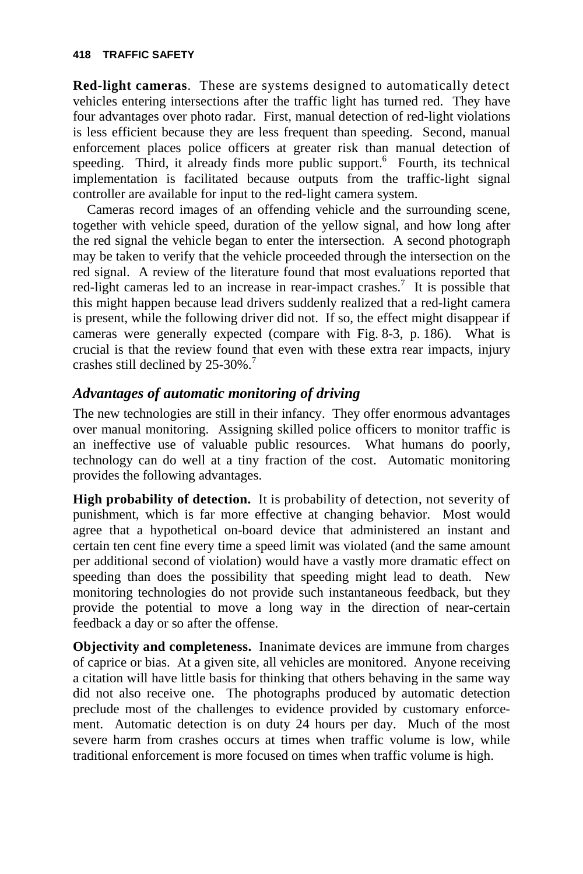**Red-light cameras**. These are systems designed to automatically detect vehicles entering intersections after the traffic light has turned red. They have four advantages over photo radar. First, manual detection of red-light violations is less efficient because they are less frequent than speeding. Second, manual enforcement places police officers at greater risk than manual detection of speeding. Third, it already finds more public support.<sup>6</sup> Fourth, its technical implementation is facilitated because outputs from the traffic-light signal controller are available for input to the red-light camera system.

Cameras record images of an offending vehicle and the surrounding scene, together with vehicle speed, duration of the yellow signal, and how long after the red signal the vehicle began to enter the intersection. A second photograph may be taken to verify that the vehicle proceeded through the intersection on the red signal. A review of the literature found that most evaluations reported that red-light cameras led to an increase in rear-impact crashes.<sup>7</sup> It is possible that this might happen because lead drivers suddenly realized that a red-light camera is present, while the following driver did not. If so, the effect might disappear if cameras were generally expected (compare with Fig. 8-3, p. 186). What is crucial is that the review found that even with these extra rear impacts, injury crashes still declined by  $25-30\%$ .<sup>7</sup>

#### *Advantages of automatic monitoring of driving*

The new technologies are still in their infancy. They offer enormous advantages over manual monitoring. Assigning skilled police officers to monitor traffic is an ineffective use of valuable public resources. What humans do poorly, technology can do well at a tiny fraction of the cost. Automatic monitoring provides the following advantages.

**High probability of detection.** It is probability of detection, not severity of punishment, which is far more effective at changing behavior. Most would agree that a hypothetical on-board device that administered an instant and certain ten cent fine every time a speed limit was violated (and the same amount per additional second of violation) would have a vastly more dramatic effect on speeding than does the possibility that speeding might lead to death. New monitoring technologies do not provide such instantaneous feedback, but they provide the potential to move a long way in the direction of near-certain feedback a day or so after the offense.

**Objectivity and completeness.** Inanimate devices are immune from charges of caprice or bias. At a given site, all vehicles are monitored. Anyone receiving a citation will have little basis for thinking that others behaving in the same way did not also receive one. The photographs produced by automatic detection preclude most of the challenges to evidence provided by customary enforcement. Automatic detection is on duty 24 hours per day. Much of the most severe harm from crashes occurs at times when traffic volume is low, while traditional enforcement is more focused on times when traffic volume is high.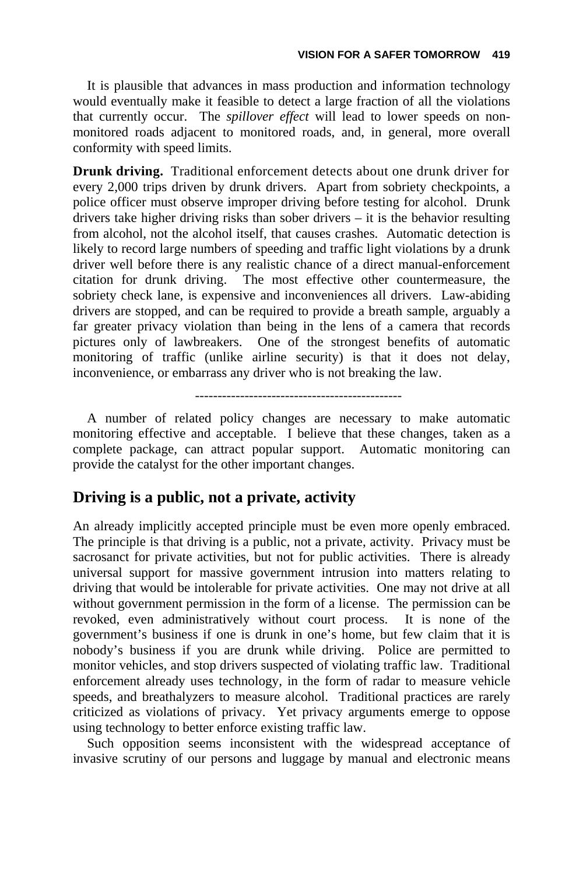It is plausible that advances in mass production and information technology would eventually make it feasible to detect a large fraction of all the violations that currently occur. The *spillover effect* will lead to lower speeds on nonmonitored roads adjacent to monitored roads, and, in general, more overall conformity with speed limits.

**Drunk driving.** Traditional enforcement detects about one drunk driver for every 2,000 trips driven by drunk drivers. Apart from sobriety checkpoints, a police officer must observe improper driving before testing for alcohol. Drunk drivers take higher driving risks than sober drivers – it is the behavior resulting from alcohol, not the alcohol itself, that causes crashes. Automatic detection is likely to record large numbers of speeding and traffic light violations by a drunk driver well before there is any realistic chance of a direct manual-enforcement citation for drunk driving. The most effective other countermeasure, the sobriety check lane, is expensive and inconveniences all drivers. Law-abiding drivers are stopped, and can be required to provide a breath sample, arguably a far greater privacy violation than being in the lens of a camera that records pictures only of lawbreakers. One of the strongest benefits of automatic monitoring of traffic (unlike airline security) is that it does not delay, inconvenience, or embarrass any driver who is not breaking the law.

----------------------------------------------

A number of related policy changes are necessary to make automatic monitoring effective and acceptable. I believe that these changes, taken as a complete package, can attract popular support. Automatic monitoring can provide the catalyst for the other important changes.

#### **Driving is a public, not a private, activity**

An already implicitly accepted principle must be even more openly embraced. The principle is that driving is a public, not a private, activity. Privacy must be sacrosanct for private activities, but not for public activities. There is already universal support for massive government intrusion into matters relating to driving that would be intolerable for private activities. One may not drive at all without government permission in the form of a license. The permission can be revoked, even administratively without court process. It is none of the government's business if one is drunk in one's home, but few claim that it is nobody's business if you are drunk while driving. Police are permitted to monitor vehicles, and stop drivers suspected of violating traffic law. Traditional enforcement already uses technology, in the form of radar to measure vehicle speeds, and breathalyzers to measure alcohol. Traditional practices are rarely criticized as violations of privacy. Yet privacy arguments emerge to oppose using technology to better enforce existing traffic law.

Such opposition seems inconsistent with the widespread acceptance of invasive scrutiny of our persons and luggage by manual and electronic means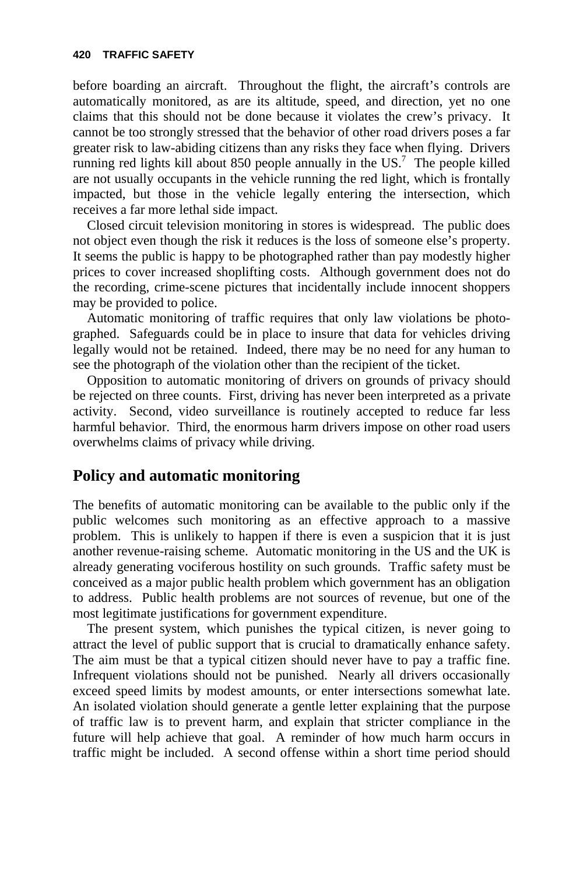before boarding an aircraft. Throughout the flight, the aircraft's controls are automatically monitored, as are its altitude, speed, and direction, yet no one claims that this should not be done because it violates the crew's privacy. It cannot be too strongly stressed that the behavior of other road drivers poses a far greater risk to law-abiding citizens than any risks they face when flying. Drivers running red lights kill about 850 people annually in the US.<sup>7</sup> The people killed are not usually occupants in the vehicle running the red light, which is frontally impacted, but those in the vehicle legally entering the intersection, which receives a far more lethal side impact.

Closed circuit television monitoring in stores is widespread. The public does not object even though the risk it reduces is the loss of someone else's property. It seems the public is happy to be photographed rather than pay modestly higher prices to cover increased shoplifting costs. Although government does not do the recording, crime-scene pictures that incidentally include innocent shoppers may be provided to police.

Automatic monitoring of traffic requires that only law violations be photographed. Safeguards could be in place to insure that data for vehicles driving legally would not be retained. Indeed, there may be no need for any human to see the photograph of the violation other than the recipient of the ticket.

Opposition to automatic monitoring of drivers on grounds of privacy should be rejected on three counts. First, driving has never been interpreted as a private activity. Second, video surveillance is routinely accepted to reduce far less harmful behavior. Third, the enormous harm drivers impose on other road users overwhelms claims of privacy while driving.

## **Policy and automatic monitoring**

The benefits of automatic monitoring can be available to the public only if the public welcomes such monitoring as an effective approach to a massive problem. This is unlikely to happen if there is even a suspicion that it is just another revenue-raising scheme. Automatic monitoring in the US and the UK is already generating vociferous hostility on such grounds. Traffic safety must be conceived as a major public health problem which government has an obligation to address. Public health problems are not sources of revenue, but one of the most legitimate justifications for government expenditure.

The present system, which punishes the typical citizen, is never going to attract the level of public support that is crucial to dramatically enhance safety. The aim must be that a typical citizen should never have to pay a traffic fine. Infrequent violations should not be punished. Nearly all drivers occasionally exceed speed limits by modest amounts, or enter intersections somewhat late. An isolated violation should generate a gentle letter explaining that the purpose of traffic law is to prevent harm, and explain that stricter compliance in the future will help achieve that goal. A reminder of how much harm occurs in traffic might be included. A second offense within a short time period should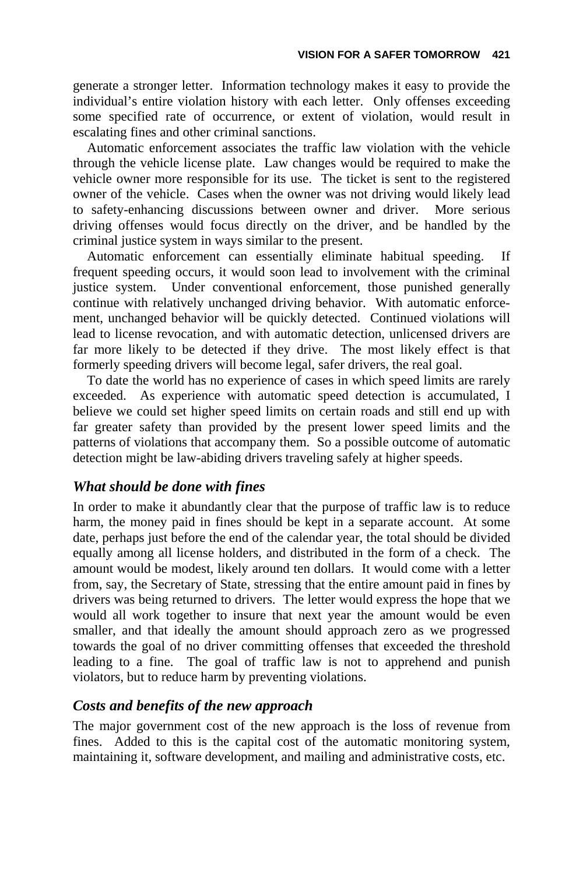generate a stronger letter. Information technology makes it easy to provide the individual's entire violation history with each letter. Only offenses exceeding some specified rate of occurrence, or extent of violation, would result in escalating fines and other criminal sanctions.

Automatic enforcement associates the traffic law violation with the vehicle through the vehicle license plate. Law changes would be required to make the vehicle owner more responsible for its use. The ticket is sent to the registered owner of the vehicle. Cases when the owner was not driving would likely lead to safety-enhancing discussions between owner and driver. More serious driving offenses would focus directly on the driver, and be handled by the criminal justice system in ways similar to the present.

Automatic enforcement can essentially eliminate habitual speeding. If frequent speeding occurs, it would soon lead to involvement with the criminal justice system. Under conventional enforcement, those punished generally continue with relatively unchanged driving behavior. With automatic enforcement, unchanged behavior will be quickly detected. Continued violations will lead to license revocation, and with automatic detection, unlicensed drivers are far more likely to be detected if they drive. The most likely effect is that formerly speeding drivers will become legal, safer drivers, the real goal.

To date the world has no experience of cases in which speed limits are rarely exceeded. As experience with automatic speed detection is accumulated, I believe we could set higher speed limits on certain roads and still end up with far greater safety than provided by the present lower speed limits and the patterns of violations that accompany them. So a possible outcome of automatic detection might be law-abiding drivers traveling safely at higher speeds.

## *What should be done with fines*

In order to make it abundantly clear that the purpose of traffic law is to reduce harm, the money paid in fines should be kept in a separate account. At some date, perhaps just before the end of the calendar year, the total should be divided equally among all license holders, and distributed in the form of a check. The amount would be modest, likely around ten dollars. It would come with a letter from, say, the Secretary of State, stressing that the entire amount paid in fines by drivers was being returned to drivers. The letter would express the hope that we would all work together to insure that next year the amount would be even smaller, and that ideally the amount should approach zero as we progressed towards the goal of no driver committing offenses that exceeded the threshold leading to a fine. The goal of traffic law is not to apprehend and punish violators, but to reduce harm by preventing violations.

## *Costs and benefits of the new approach*

The major government cost of the new approach is the loss of revenue from fines. Added to this is the capital cost of the automatic monitoring system, maintaining it, software development, and mailing and administrative costs, etc.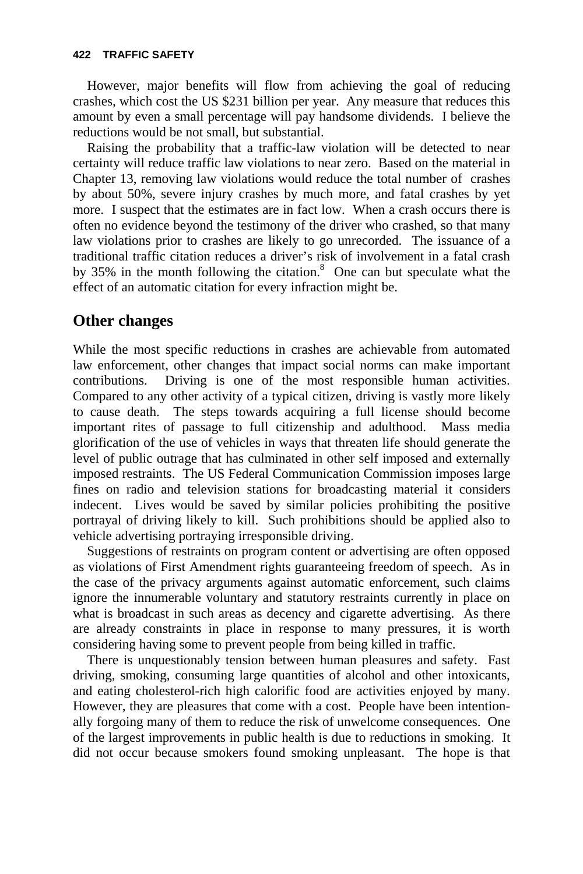However, major benefits will flow from achieving the goal of reducing crashes, which cost the US \$231 billion per year. Any measure that reduces this amount by even a small percentage will pay handsome dividends. I believe the reductions would be not small, but substantial.

Raising the probability that a traffic-law violation will be detected to near certainty will reduce traffic law violations to near zero. Based on the material in Chapter 13, removing law violations would reduce the total number of crashes by about 50%, severe injury crashes by much more, and fatal crashes by yet more. I suspect that the estimates are in fact low. When a crash occurs there is often no evidence beyond the testimony of the driver who crashed, so that many law violations prior to crashes are likely to go unrecorded. The issuance of a traditional traffic citation reduces a driver's risk of involvement in a fatal crash by 35% in the month following the citation.<sup>8</sup> One can but speculate what the effect of an automatic citation for every infraction might be.

#### **Other changes**

While the most specific reductions in crashes are achievable from automated law enforcement, other changes that impact social norms can make important contributions. Driving is one of the most responsible human activities. Compared to any other activity of a typical citizen, driving is vastly more likely to cause death. The steps towards acquiring a full license should become important rites of passage to full citizenship and adulthood. Mass media glorification of the use of vehicles in ways that threaten life should generate the level of public outrage that has culminated in other self imposed and externally imposed restraints. The US Federal Communication Commission imposes large fines on radio and television stations for broadcasting material it considers indecent. Lives would be saved by similar policies prohibiting the positive portrayal of driving likely to kill. Such prohibitions should be applied also to vehicle advertising portraying irresponsible driving.

Suggestions of restraints on program content or advertising are often opposed as violations of First Amendment rights guaranteeing freedom of speech. As in the case of the privacy arguments against automatic enforcement, such claims ignore the innumerable voluntary and statutory restraints currently in place on what is broadcast in such areas as decency and cigarette advertising. As there are already constraints in place in response to many pressures, it is worth considering having some to prevent people from being killed in traffic.

There is unquestionably tension between human pleasures and safety. Fast driving, smoking, consuming large quantities of alcohol and other intoxicants, and eating cholesterol-rich high calorific food are activities enjoyed by many. However, they are pleasures that come with a cost. People have been intentionally forgoing many of them to reduce the risk of unwelcome consequences. One of the largest improvements in public health is due to reductions in smoking. It did not occur because smokers found smoking unpleasant. The hope is that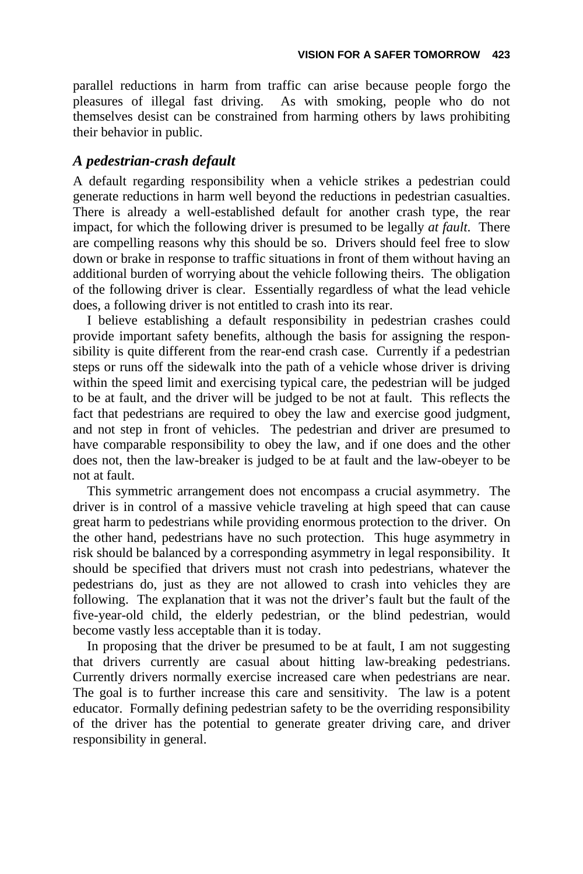parallel reductions in harm from traffic can arise because people forgo the pleasures of illegal fast driving. As with smoking, people who do not themselves desist can be constrained from harming others by laws prohibiting their behavior in public.

#### *A pedestrian-crash default*

A default regarding responsibility when a vehicle strikes a pedestrian could generate reductions in harm well beyond the reductions in pedestrian casualties. There is already a well-established default for another crash type, the rear impact, for which the following driver is presumed to be legally *at fault*. There are compelling reasons why this should be so. Drivers should feel free to slow down or brake in response to traffic situations in front of them without having an additional burden of worrying about the vehicle following theirs. The obligation of the following driver is clear. Essentially regardless of what the lead vehicle does, a following driver is not entitled to crash into its rear.

I believe establishing a default responsibility in pedestrian crashes could provide important safety benefits, although the basis for assigning the responsibility is quite different from the rear-end crash case. Currently if a pedestrian steps or runs off the sidewalk into the path of a vehicle whose driver is driving within the speed limit and exercising typical care, the pedestrian will be judged to be at fault, and the driver will be judged to be not at fault. This reflects the fact that pedestrians are required to obey the law and exercise good judgment, and not step in front of vehicles. The pedestrian and driver are presumed to have comparable responsibility to obey the law, and if one does and the other does not, then the law-breaker is judged to be at fault and the law-obeyer to be not at fault.

This symmetric arrangement does not encompass a crucial asymmetry. The driver is in control of a massive vehicle traveling at high speed that can cause great harm to pedestrians while providing enormous protection to the driver. On the other hand, pedestrians have no such protection. This huge asymmetry in risk should be balanced by a corresponding asymmetry in legal responsibility. It should be specified that drivers must not crash into pedestrians, whatever the pedestrians do, just as they are not allowed to crash into vehicles they are following. The explanation that it was not the driver's fault but the fault of the five-year-old child, the elderly pedestrian, or the blind pedestrian, would become vastly less acceptable than it is today.

In proposing that the driver be presumed to be at fault, I am not suggesting that drivers currently are casual about hitting law-breaking pedestrians. Currently drivers normally exercise increased care when pedestrians are near. The goal is to further increase this care and sensitivity. The law is a potent educator. Formally defining pedestrian safety to be the overriding responsibility of the driver has the potential to generate greater driving care, and driver responsibility in general.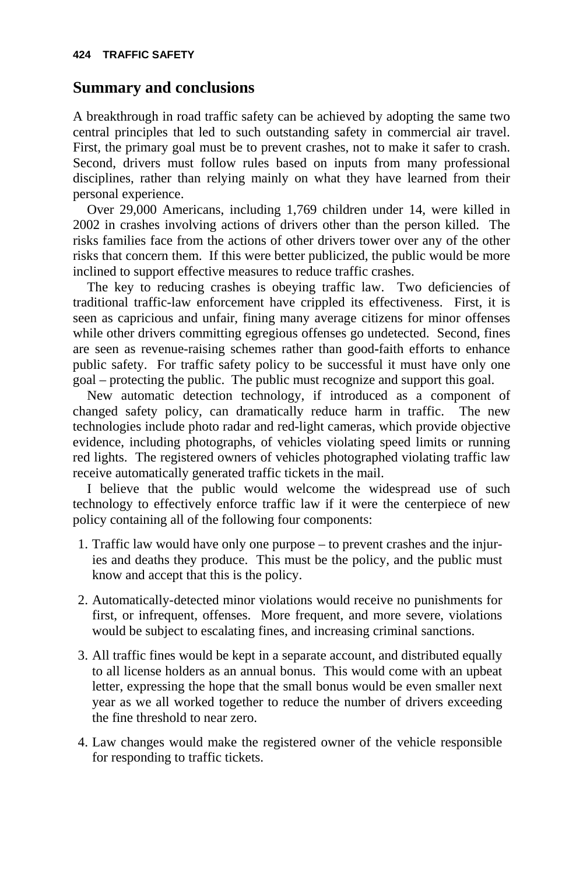## **Summary and conclusions**

A breakthrough in road traffic safety can be achieved by adopting the same two central principles that led to such outstanding safety in commercial air travel. First, the primary goal must be to prevent crashes, not to make it safer to crash. Second, drivers must follow rules based on inputs from many professional disciplines, rather than relying mainly on what they have learned from their personal experience.

Over 29,000 Americans, including 1,769 children under 14, were killed in 2002 in crashes involving actions of drivers other than the person killed. The risks families face from the actions of other drivers tower over any of the other risks that concern them. If this were better publicized, the public would be more inclined to support effective measures to reduce traffic crashes.

The key to reducing crashes is obeying traffic law. Two deficiencies of traditional traffic-law enforcement have crippled its effectiveness. First, it is seen as capricious and unfair, fining many average citizens for minor offenses while other drivers committing egregious offenses go undetected. Second, fines are seen as revenue-raising schemes rather than good**-**faith efforts to enhance public safety. For traffic safety policy to be successful it must have only one goal – protecting the public. The public must recognize and support this goal.

New automatic detection technology, if introduced as a component of changed safety policy, can dramatically reduce harm in traffic. The new technologies include photo radar and red-light cameras, which provide objective evidence, including photographs, of vehicles violating speed limits or running red lights. The registered owners of vehicles photographed violating traffic law receive automatically generated traffic tickets in the mail.

I believe that the public would welcome the widespread use of such technology to effectively enforce traffic law if it were the centerpiece of new policy containing all of the following four components:

- 1. Traffic law would have only one purpose to prevent crashes and the injuries and deaths they produce. This must be the policy, and the public must know and accept that this is the policy.
- 2. Automatically-detected minor violations would receive no punishments for first, or infrequent, offenses. More frequent, and more severe, violations would be subject to escalating fines, and increasing criminal sanctions.
- 3. All traffic fines would be kept in a separate account, and distributed equally to all license holders as an annual bonus. This would come with an upbeat letter, expressing the hope that the small bonus would be even smaller next year as we all worked together to reduce the number of drivers exceeding the fine threshold to near zero.
- 4. Law changes would make the registered owner of the vehicle responsible for responding to traffic tickets.